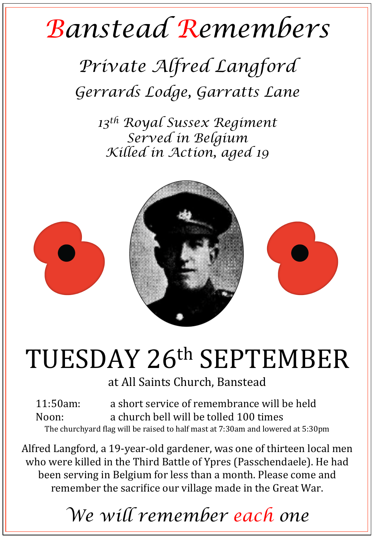## *Banstead Remembers*

## *Private Alfred Langford Gerrards Lodge, Garratts Lane*

*13th Royal Sussex Regiment Served in Belgium Killed in Action, aged 19* 



# TUESDAY 26<sup>th</sup> SEPTEMBER

at All Saints Church, Banstead

11:50am: a short service of remembrance will be held Noon: a church bell will be tolled 100 times The churchyard flag will be raised to half mast at 7:30am and lowered at 5:30pm

Alfred Langford, a 19-year-old gardener, was one of thirteen local men who were killed in the Third Battle of Ypres (Passchendaele). He had been serving in Belgium for less than a month. Please come and remember the sacrifice our village made in the Great War.

### *We will remember each one*